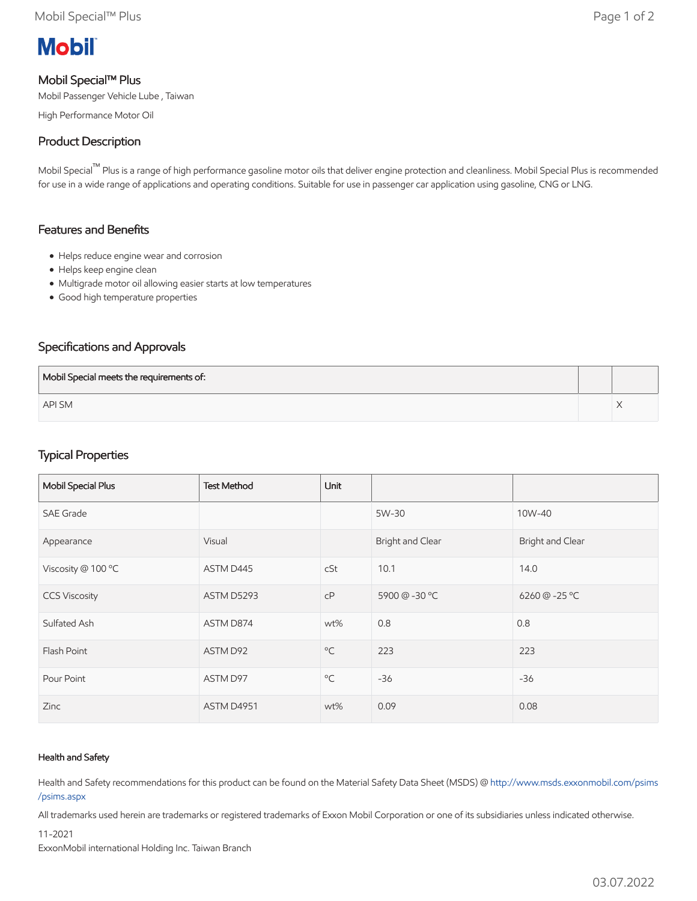

#### Mobil Special™ Plus

Mobil Passenger Vehicle Lube , Taiwan

High Performance Motor Oil

## Product Description

Mobil Special™ Plus is a range of high performance gasoline motor oils that deliver engine protection and cleanliness. Mobil Special Plus is recommended for use in a wide range of applications and operating conditions. Suitable for use in passenger car application using gasoline, CNG or LNG.

#### Features and Benefits

- Helps reduce engine wear and corrosion
- Helps keep engine clean
- Multigrade motor oil allowing easier starts at low temperatures
- Good high temperature properties

### Specifications and Approvals

| Mobil Special meets the requirements of: |  |
|------------------------------------------|--|
| <b>API SM</b>                            |  |

# Typical Properties

| Mobil Special Plus   | <b>Test Method</b> | <b>Unit</b>  |                  |                  |
|----------------------|--------------------|--------------|------------------|------------------|
| <b>SAE Grade</b>     |                    |              | 5W-30            | 10W-40           |
| Appearance           | Visual             |              | Bright and Clear | Bright and Clear |
| Viscosity @ 100 °C   | ASTM D445          | cSt          | 10.1             | 14.0             |
| <b>CCS Viscosity</b> | ASTM D5293         | cP           | 5900 @ -30 °C    | 6260 @ -25 °C    |
| Sulfated Ash         | ASTM D874          | wt%          | 0.8              | 0.8              |
| Flash Point          | ASTM D92           | $^{\circ}$ C | 223              | 223              |
| Pour Point           | ASTM D97           | $^{\circ}$ C | $-36$            | $-36$            |
| Zinc                 | ASTM D4951         | wt%          | 0.09             | 0.08             |

#### Health and Safety

Health and Safety recommendations for this product can be found on the Material Safety Data Sheet (MSDS) @ [http://www.msds.exxonmobil.com/psims](http://www.msds.exxonmobil.com/psims/psims.aspx) /psims.aspx

All trademarks used herein are trademarks or registered trademarks of Exxon Mobil Corporation or one of its subsidiaries unless indicated otherwise.

#### 11-2021

ExxonMobil international Holding Inc. Taiwan Branch